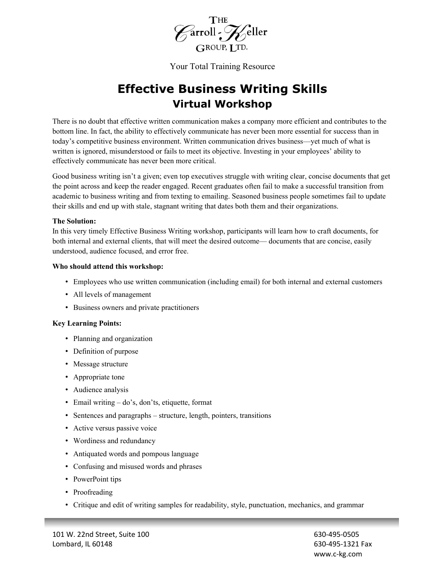

Your Total Training Resource

# **Effective Business Writing Skills Virtual Workshop**

There is no doubt that effective written communication makes a company more efficient and contributes to the bottom line. In fact, the ability to effectively communicate has never been more essential for success than in today's competitive business environment. Written communication drives business—yet much of what is written is ignored, misunderstood or fails to meet its objective. Investing in your employees' ability to effectively communicate has never been more critical.

Good business writing isn't a given; even top executives struggle with writing clear, concise documents that get the point across and keep the reader engaged. Recent graduates often fail to make a successful transition from academic to business writing and from texting to emailing. Seasoned business people sometimes fail to update their skills and end up with stale, stagnant writing that dates both them and their organizations.

#### **The Solution:**

In this very timely Effective Business Writing workshop, participants will learn how to craft documents, for both internal and external clients, that will meet the desired outcome— documents that are concise, easily understood, audience focused, and error free.

#### **Who should attend this workshop:**

- Employees who use written communication (including email) for both internal and external customers
- All levels of management
- Business owners and private practitioners

#### **Key Learning Points:**

- Planning and organization
- Definition of purpose
- Message structure
- Appropriate tone
- Audience analysis
- Email writing do's, don'ts, etiquette, format
- Sentences and paragraphs structure, length, pointers, transitions
- Active versus passive voice
- Wordiness and redundancy
- Antiquated words and pompous language
- Confusing and misused words and phrases
- PowerPoint tips
- Proofreading
- Critique and edit of writing samples for readability, style, punctuation, mechanics, and grammar